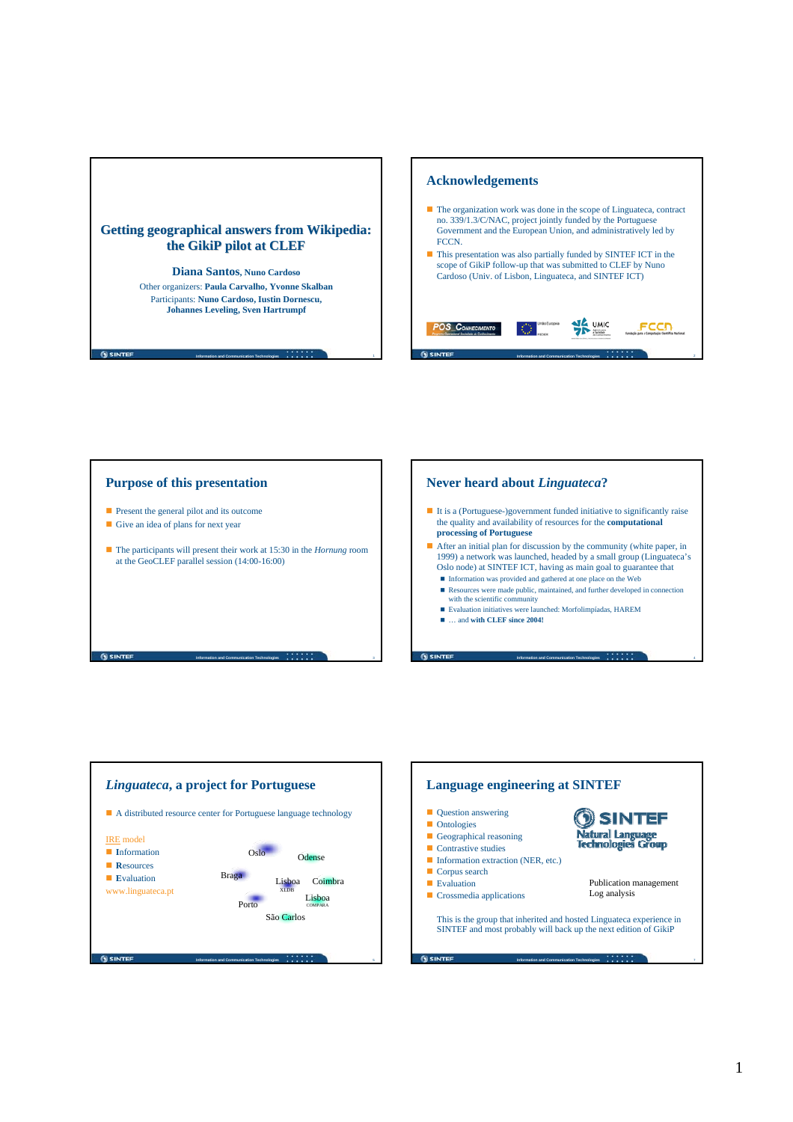







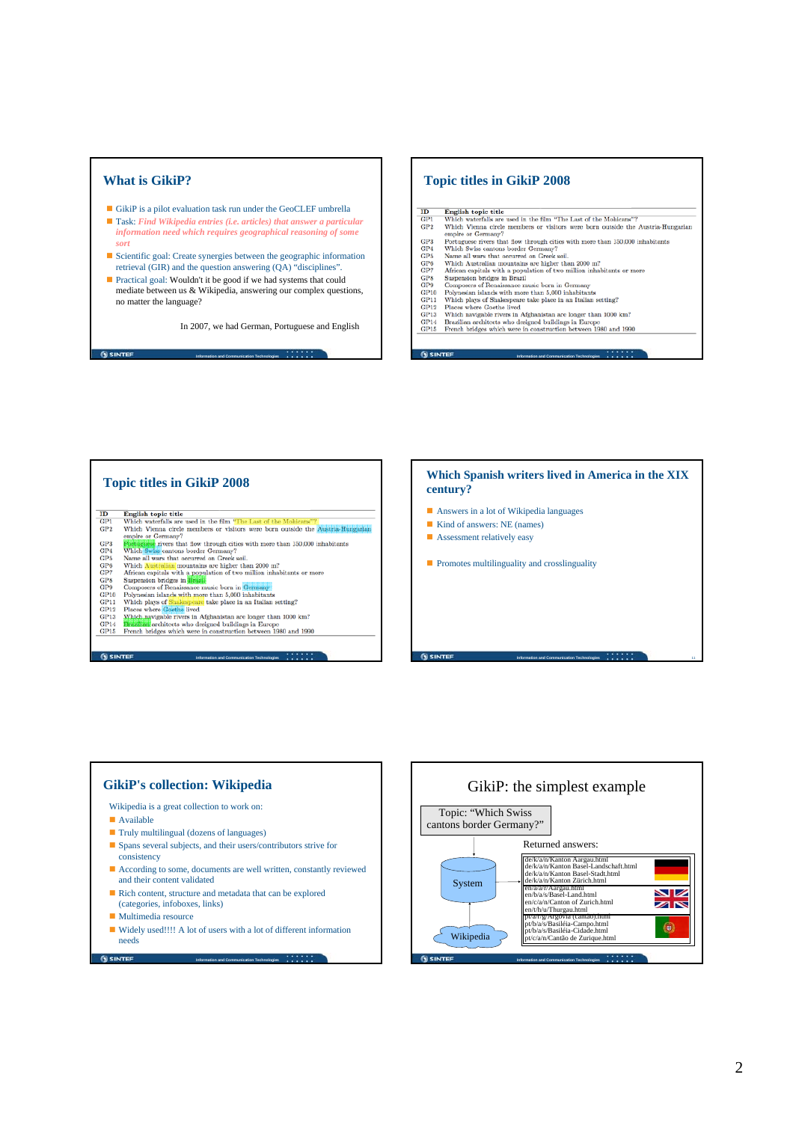

In 2007, we had German, Portuguese and English

### **Topic titles in GikiP 2008**

**N** SINTEF

**G** CINTER

English topic title  $\label{thm:1}$  Which waterfalls are used in the film "The Last of the Mohicans"? Which Vienna circle members or visitors were born outside the Austria-Hungarian empire or Germany?  $GP2$ 

**Information and Communication Technologies**

- when venta circle members or visitors were oorn outside the Austral-run<br>empire or Germany?<br>Protugase rivers that flow through cities with more than 150,000 inhabitants<br>Which Swiss cantous border Germany?<br>Which Swiss canto
- 
- 
- 
- 
- 
- 
- 
- 
- 

**Topic titles in GikiP 2008**   $\begin{array}{c} \textbf{ID} \\ \textbf{GPI} \\ \textbf{GP2} \end{array}$ English topic title<br>
Which waterfalls are used in the film "The Last of the Mohicane"?<br>
Which Vienna circle members or visitors were born outside the Austria-Hung<br>
empire or Germany? which vienta circle members or visitors were born outside the **Austra-Hur**<br>empire or Germany?<br>**Exity increase that flow through cities with more than 150,000 inhabitants**<br>**Exity increase that flow through cities with more**  $_{\mathrm{GP4}}^{\mathrm{GP3}}$ GP5<br>GP6<br>GP7<br>GP9<br>GP10<br>GP11<br>GP12<br>GP14<br>GP14<br>GP15

**Information and Communication Technologies**

**Information and Communication Technologies**

**G** SINTEF

**GISINTEE** 

**Which Spanish writers lived in America in the XIX century?** Answers in a lot of Wikipedia languages Kind of answers: NE (names) **Assessment relatively easy Promotes multilinguality and crosslinguality** 

**Information and Communication Technologies** 11



- consistency
- According to some, documents are well written, constantly reviewed and their content validated
- Rich content, structure and metadata that can be explored (categories, infoboxes, links)
- **Multimedia resource**

**SINTER** 

■ Widely used!!!! A lot of users with a lot of different information needs

**Information and Communication Technologies**



## 2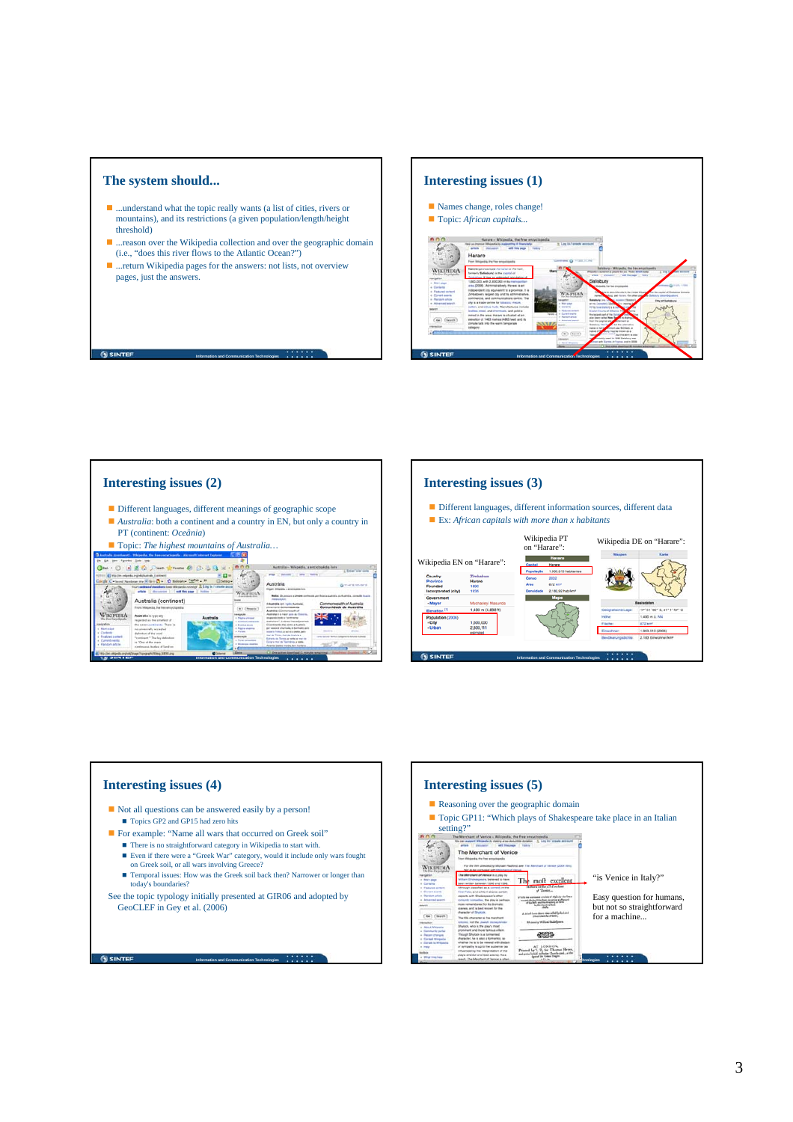

**G SINTER** 

**SINTER** 

- ...understand what the topic really wants (a list of cities, rivers or mountains), and its restrictions (a given population/length/height threshold)
- ...reason over the Wikipedia collection and over the geographic domain (i.e., "does this river flows to the Atlantic Ocean?")

**Information and Communication Technologies**

■ ...return Wikipedia pages for the answers: not lists, not overview pages, just the answers.





- *Australia*: both a continent and a country in EN, but only a country in PT (continent: *Oceânia*)
- Topic: *The highest mountains of Australia*...



**Information and Communication Technologies**

# **Interesting issues (3)**

- Different languages, different information sources, different data Ex: *African capitals with more than x habitants*
- 





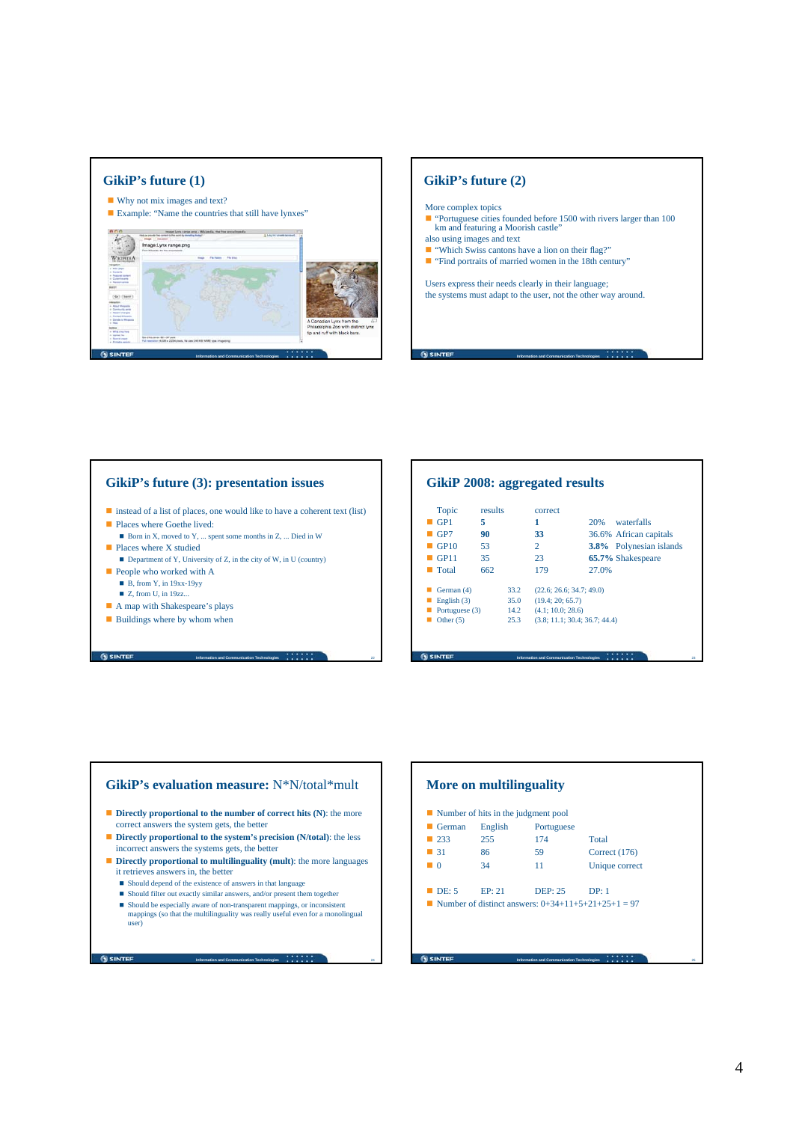





# **Information and Communication Technologies** 23 **GikiP 2008: aggregated results** Topic results correct **6** GP1 **5 1** 20% waterfalls **GP7 90** 33 36.6% African capitals<br> **GP10** 53 2 3.8% Polynesian islan 3.8% Polynesian islands **GP11** 35 23 **65.7%** Shakespeare Total 662 179 27.0% German (4) 33.2 (22.6; 26.6; 34.7; 49.0) ■ English (3) 35.0 (19.4; 20; 65.7)<br>■ Portuguese (3) 14.2 (4.1; 10.0; 28.6) **Portuguese (3)** 14.2<br> **Other (5)** 25.3  $(3.8; 11.1; 30.4; 36.7; 44.4)$

#### **GikiP's evaluation measure:** N\*N/total\*mult **Directly proportional to the number of correct hits (N): the more** correct answers the system gets, the better ■ **Directly proportional to the system's precision (N/total)**: the less incorrect answers the systems gets, the better **Directly proportional to multilinguality (mult)**: the more languages it retrieves answers in, the better Should depend of the existence of answers in that language ■ Should filter out exactly similar answers, and/or present them together Should be especially aware of non-transparent mappings, or inconsistent mappings (so that the multilinguality was really useful even for a monolingual user)

**SINTER** 

**Information and Communication Technologies** 24